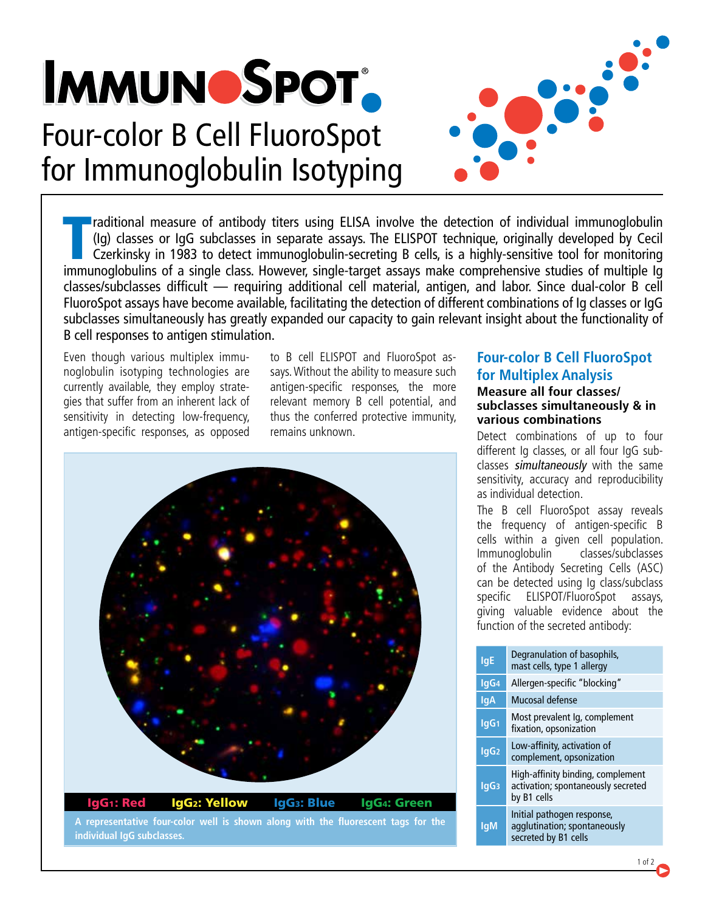# **IMMUNOSPOT** Four-color B Cell FluoroSpot [for Immunoglobulin Isotyping](http://www.immunospot.com/immunospot-b-cell-elispot-kit-human)



In anditional measure of antibody titers using ELISA involve the detection of individual immunoglobulin (Ig) classes or IgG subclasses in separate assays. The ELISPOT technique, originally developed by Cecil Czerkinsky in raditional measure of antibody titers using ELISA involve the detection of individual immunoglobulin (Ig) classes or IgG subclasses in separate assays. The ELISPOT technique, originally developed by Cecil Czerkinsky in 1983 to detect immunoglobulin-secreting B cells, is a highly-sensitive tool for monitoring classes/subclasses difficult — requiring additional cell material, antigen, and labor. Since dual-color B cell FluoroSpot assays have become available, facilitating the detection of different combinations of Ig classes or IgG subclasses simultaneously has greatly expanded our capacity to gain relevant insight about the functionality of B cell responses to antigen stimulation.

Even though various multiplex immunoglobulin isotyping technologies are currently available, they employ strategies that suffer from an inherent lack of sensitivity in detecting low-frequency, antigen-specific responses, as opposed to B cell ELISPOT and FluoroSpot assays. Without the ability to measure such antigen-specific responses, the more relevant memory B cell potential, and thus the conferred protective immunity, remains unknown.



**A representative four-color well is shown along with the fluorescent tags for the individual IgG subclasses.**

## **Four-color B Cell FluoroSpot for Multiplex Analysis**

### **Measure all four classes/ subclasses simultaneously & in various combinations**

Detect combinations of up to four different Ig classes, or all four IgG subclasses simultaneously with the same sensitivity, accuracy and reproducibility as individual detection.

The B cell FluoroSpot assay reveals the frequency of antigen-specific B cells within a given cell population. Immunoglobulin classes/subclasses of the Antibody Secreting Cells (ASC) can be detected using Ig class/subclass specific ELISPOT/FluoroSpot assays, giving valuable evidence about the function of the secreted antibody:

| <b>IgE</b>       | Degranulation of basophils,<br>mast cells, type 1 allergy                              |  |  |  |
|------------------|----------------------------------------------------------------------------------------|--|--|--|
| lgG <sub>4</sub> | Allergen-specific "blocking"                                                           |  |  |  |
| lqA              | Mucosal defense                                                                        |  |  |  |
| lgG <sub>1</sub> | Most prevalent Ig, complement<br>fixation, opsonization                                |  |  |  |
| lgG <sub>2</sub> | Low-affinity, activation of<br>complement, opsonization                                |  |  |  |
| lgG <sub>3</sub> | High-affinity binding, complement<br>activation; spontaneously secreted<br>by B1 cells |  |  |  |
| lqM              | Initial pathogen response,<br>agglutination; spontaneously<br>secreted by B1 cells     |  |  |  |

 $1 of 2$